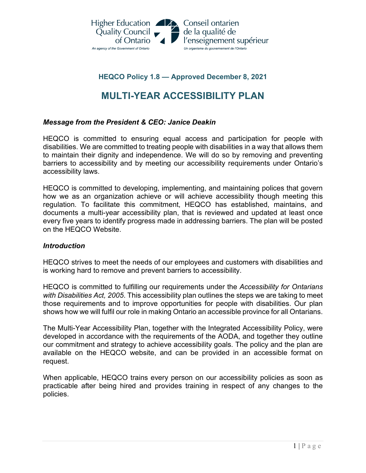

## **HEQCO Policy 1.8 — Approved December 8, 2021**

# **MULTI-YEAR ACCESSIBILITY PLAN**

## *Message from the President & CEO: Janice Deakin*

HEQCO is committed to ensuring equal access and participation for people with disabilities. We are committed to treating people with disabilities in a way that allows them to maintain their dignity and independence. We will do so by removing and preventing barriers to accessibility and by meeting our accessibility requirements under Ontario's accessibility laws.

HEQCO is committed to developing, implementing, and maintaining polices that govern how we as an organization achieve or will achieve accessibility though meeting this regulation. To facilitate this commitment, HEQCO has established, maintains, and documents a multi-year accessibility plan, that is reviewed and updated at least once every five years to identify progress made in addressing barriers. The plan will be posted on the HEQCO Website.

#### *Introduction*

HEQCO strives to meet the needs of our employees and customers with disabilities and is working hard to remove and prevent barriers to accessibility.

HEQCO is committed to fulfilling our requirements under the *Accessibility for Ontarians with Disabilities Act, 2005*. This accessibility plan outlines the steps we are taking to meet those requirements and to improve opportunities for people with disabilities. Our plan shows how we will fulfil our role in making Ontario an accessible province for all Ontarians.

The Multi-Year Accessibility Plan, together with the Integrated Accessibility Policy, were developed in accordance with the requirements of the AODA, and together they outline our commitment and strategy to achieve accessibility goals. The policy and the plan are available on the HEQCO website, and can be provided in an accessible format on request.

When applicable, HEQCO trains every person on our accessibility policies as soon as practicable after being hired and provides training in respect of any changes to the policies.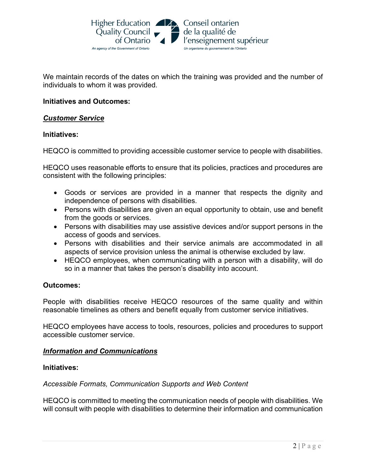

We maintain records of the dates on which the training was provided and the number of individuals to whom it was provided.

## **Initiatives and Outcomes:**

## *Customer Service*

## **Initiatives:**

HEQCO is committed to providing accessible customer service to people with disabilities.

HEQCO uses reasonable efforts to ensure that its policies, practices and procedures are consistent with the following principles:

- Goods or services are provided in a manner that respects the dignity and independence of persons with disabilities.
- Persons with disabilities are given an equal opportunity to obtain, use and benefit from the goods or services.
- Persons with disabilities may use assistive devices and/or support persons in the access of goods and services.
- Persons with disabilities and their service animals are accommodated in all aspects of service provision unless the animal is otherwise excluded by law.
- HEQCO employees, when communicating with a person with a disability, will do so in a manner that takes the person's disability into account.

#### **Outcomes:**

People with disabilities receive HEQCO resources of the same quality and within reasonable timelines as others and benefit equally from customer service initiatives.

HEQCO employees have access to tools, resources, policies and procedures to support accessible customer service.

#### *Information and Communications*

#### **Initiatives:**

#### *Accessible Formats, Communication Supports and Web Content*

HEQCO is committed to meeting the communication needs of people with disabilities. We will consult with people with disabilities to determine their information and communication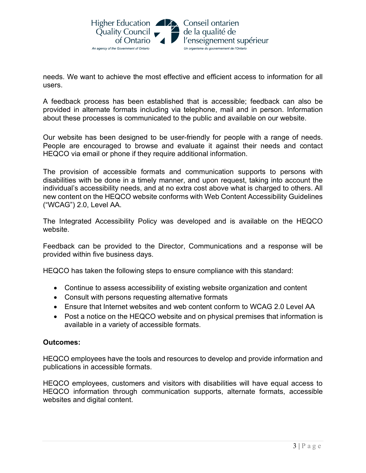needs. We want to achieve the most effective and efficient access to information for all users.

A feedback process has been established that is accessible; feedback can also be provided in alternate formats including via telephone, mail and in person. Information about these processes is communicated to the public and available on our website.

Our website has been designed to be user-friendly for people with a range of needs. People are encouraged to browse and evaluate it against their needs and contact HEQCO via email or phone if they require additional information.

The provision of accessible formats and communication supports to persons with disabilities with be done in a timely manner, and upon request, taking into account the individual's accessibility needs, and at no extra cost above what is charged to others. All new content on the HEQCO website conforms with Web Content Accessibility Guidelines ("WCAG") 2.0, Level AA.

The Integrated Accessibility Policy was developed and is available on the HEQCO website.

Feedback can be provided to the Director, Communications and a response will be provided within five business days.

HEQCO has taken the following steps to ensure compliance with this standard:

- Continue to assess accessibility of existing website organization and content
- Consult with persons requesting alternative formats
- Ensure that Internet websites and web content conform to WCAG 2.0 Level AA
- Post a notice on the HEQCO website and on physical premises that information is available in a variety of accessible formats.

## **Outcomes:**

HEQCO employees have the tools and resources to develop and provide information and publications in accessible formats.

HEQCO employees, customers and visitors with disabilities will have equal access to HEQCO information through communication supports, alternate formats, accessible websites and digital content.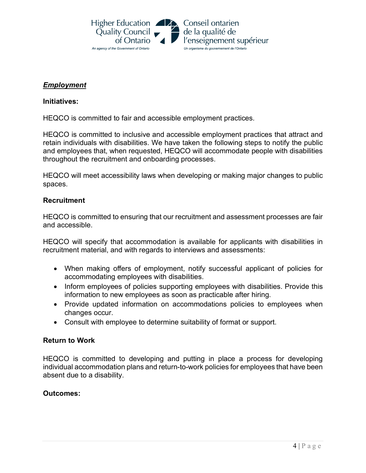

## *Employment*

## **Initiatives:**

HEQCO is committed to fair and accessible employment practices.

HEQCO is committed to inclusive and accessible employment practices that attract and retain individuals with disabilities. We have taken the following steps to notify the public and employees that, when requested, HEQCO will accommodate people with disabilities throughout the recruitment and onboarding processes.

HEQCO will meet accessibility laws when developing or making major changes to public spaces.

## **Recruitment**

HEQCO is committed to ensuring that our recruitment and assessment processes are fair and accessible.

HEQCO will specify that accommodation is available for applicants with disabilities in recruitment material, and with regards to interviews and assessments:

- When making offers of employment, notify successful applicant of policies for accommodating employees with disabilities.
- Inform employees of policies supporting employees with disabilities. Provide this information to new employees as soon as practicable after hiring.
- Provide updated information on accommodations policies to employees when changes occur.
- Consult with employee to determine suitability of format or support.

## **Return to Work**

HEQCO is committed to developing and putting in place a process for developing individual accommodation plans and return-to-work policies for employees that have been absent due to a disability.

## **Outcomes:**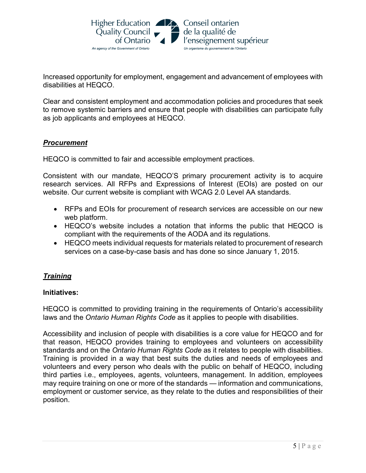

Increased opportunity for employment, engagement and advancement of employees with disabilities at HEQCO.

Clear and consistent employment and accommodation policies and procedures that seek to remove systemic barriers and ensure that people with disabilities can participate fully as job applicants and employees at HEQCO.

## *Procurement*

HEQCO is committed to fair and accessible employment practices.

Consistent with our mandate, HEQCO'S primary procurement activity is to acquire research services. All RFPs and Expressions of Interest (EOIs) are posted on our website. Our current website is compliant with WCAG 2.0 Level AA standards.

- RFPs and EOIs for procurement of research services are accessible on our new web platform.
- HEQCO's website includes a notation that informs the public that HEQCO is compliant with the requirements of the AODA and its regulations.
- HEQCO meets individual requests for materials related to procurement of research services on a case-by-case basis and has done so since January 1, 2015.

## *Training*

## **Initiatives:**

HEQCO is committed to providing training in the requirements of Ontario's accessibility laws and the *Ontario Human Rights Code* as it applies to people with disabilities.

Accessibility and inclusion of people with disabilities is a core value for HEQCO and for that reason, HEQCO provides training to employees and volunteers on accessibility standards and on the *Ontario Human Rights Code* as it relates to people with disabilities. Training is provided in a way that best suits the duties and needs of employees and volunteers and every person who deals with the public on behalf of HEQCO, including third parties i.e., employees, agents, volunteers, management. In addition, employees may require training on one or more of the standards — information and communications, employment or customer service, as they relate to the duties and responsibilities of their position.